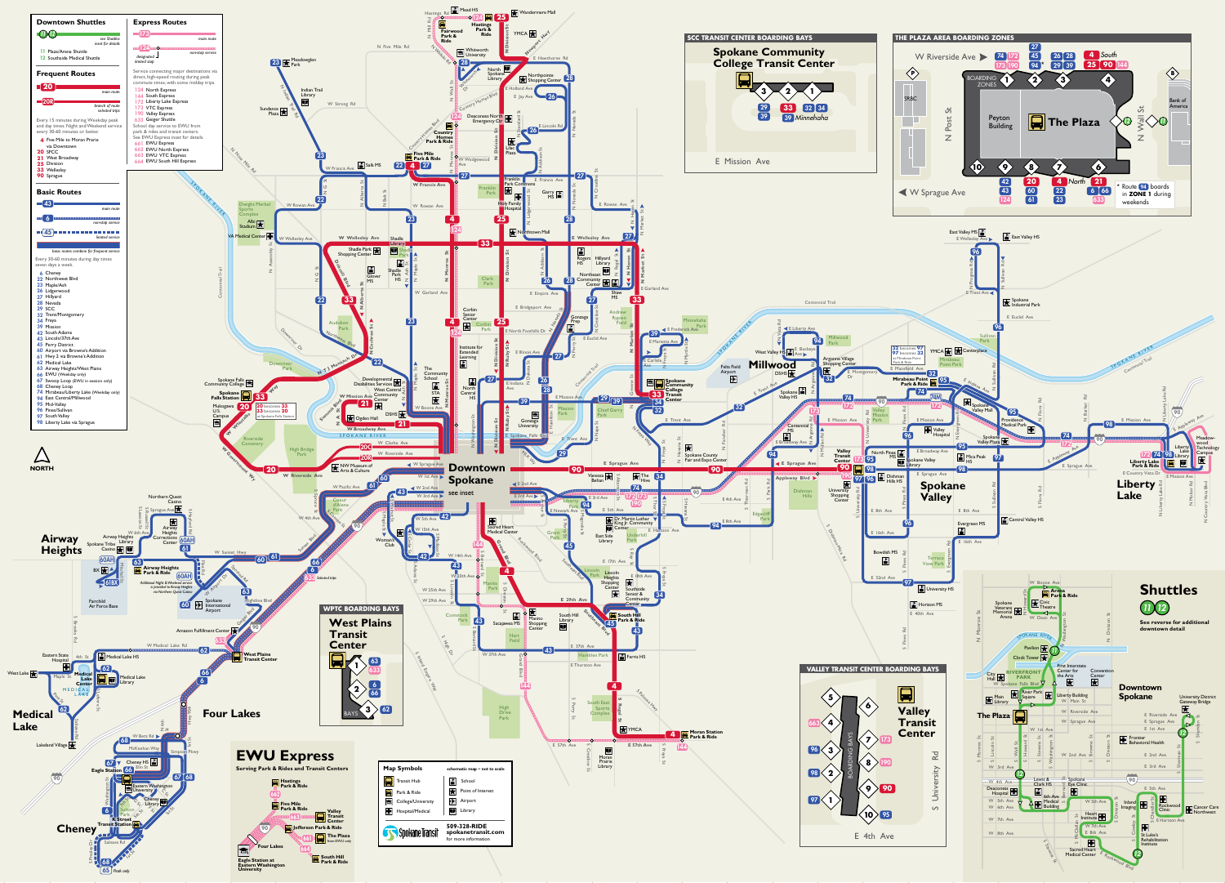